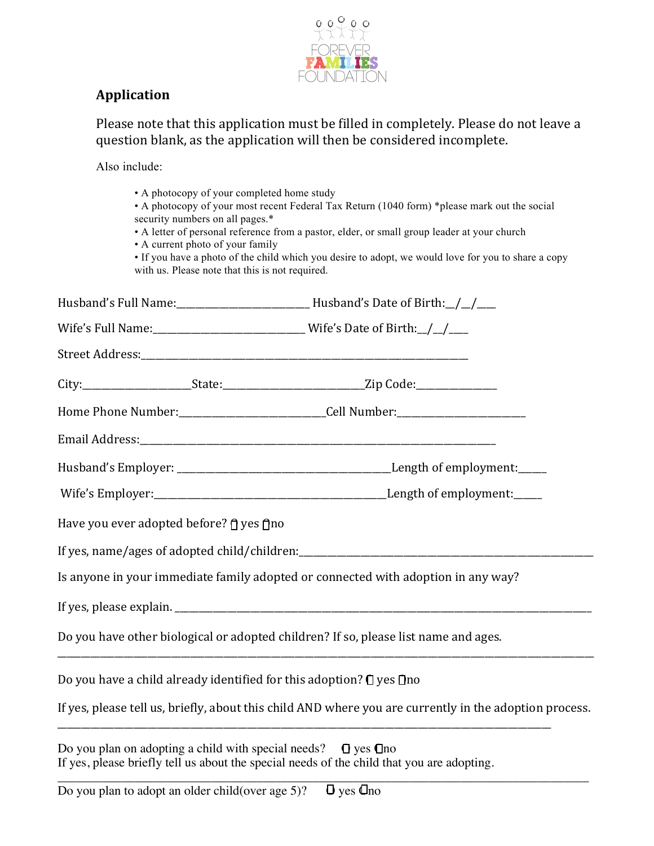

## **Application**

Please note that this application must be filled in completely. Please do not leave a question blank, as the application will then be considered incomplete.

Also include:

| • A photocopy of your completed home study<br>security numbers on all pages.*<br>• A current photo of your family<br>with us. Please note that this is not required. | • A photocopy of your most recent Federal Tax Return (1040 form) *please mark out the social<br>• A letter of personal reference from a pastor, elder, or small group leader at your church<br>• If you have a photo of the child which you desire to adopt, we would love for you to share a copy |
|----------------------------------------------------------------------------------------------------------------------------------------------------------------------|----------------------------------------------------------------------------------------------------------------------------------------------------------------------------------------------------------------------------------------------------------------------------------------------------|
|                                                                                                                                                                      |                                                                                                                                                                                                                                                                                                    |
|                                                                                                                                                                      | Wife's Full Name: __________________________________Wife's Date of Birth: $\angle$                                                                                                                                                                                                                 |
|                                                                                                                                                                      |                                                                                                                                                                                                                                                                                                    |
|                                                                                                                                                                      |                                                                                                                                                                                                                                                                                                    |
|                                                                                                                                                                      | Home Phone Number:_______________________________Cell Number:___________________                                                                                                                                                                                                                   |
|                                                                                                                                                                      |                                                                                                                                                                                                                                                                                                    |
|                                                                                                                                                                      |                                                                                                                                                                                                                                                                                                    |
|                                                                                                                                                                      |                                                                                                                                                                                                                                                                                                    |
| Have you ever adopted before? η yes η no                                                                                                                             |                                                                                                                                                                                                                                                                                                    |
|                                                                                                                                                                      |                                                                                                                                                                                                                                                                                                    |
|                                                                                                                                                                      | Is anyone in your immediate family adopted or connected with adoption in any way?                                                                                                                                                                                                                  |
|                                                                                                                                                                      |                                                                                                                                                                                                                                                                                                    |
|                                                                                                                                                                      | Do you have other biological or adopted children? If so, please list name and ages.                                                                                                                                                                                                                |
|                                                                                                                                                                      | Do you have a child already identified for this adoption? I yes Ino                                                                                                                                                                                                                                |
|                                                                                                                                                                      | If yes, please tell us, briefly, about this child AND where you are currently in the adoption process.                                                                                                                                                                                             |
|                                                                                                                                                                      |                                                                                                                                                                                                                                                                                                    |

Do you plan on adopting a child with special needs?  $\Box$  yes  $\Box$  no If yes, please briefly tell us about the special needs of the child that you are adopting. \_\_\_\_\_\_\_\_\_\_\_\_\_\_\_\_\_\_\_\_\_\_\_\_\_\_\_\_\_\_\_\_\_\_\_\_\_\_\_\_\_\_\_\_\_\_\_\_\_\_\_\_\_\_\_\_\_\_\_\_\_\_\_\_\_\_\_\_\_\_\_\_\_\_\_\_\_\_\_\_\_\_\_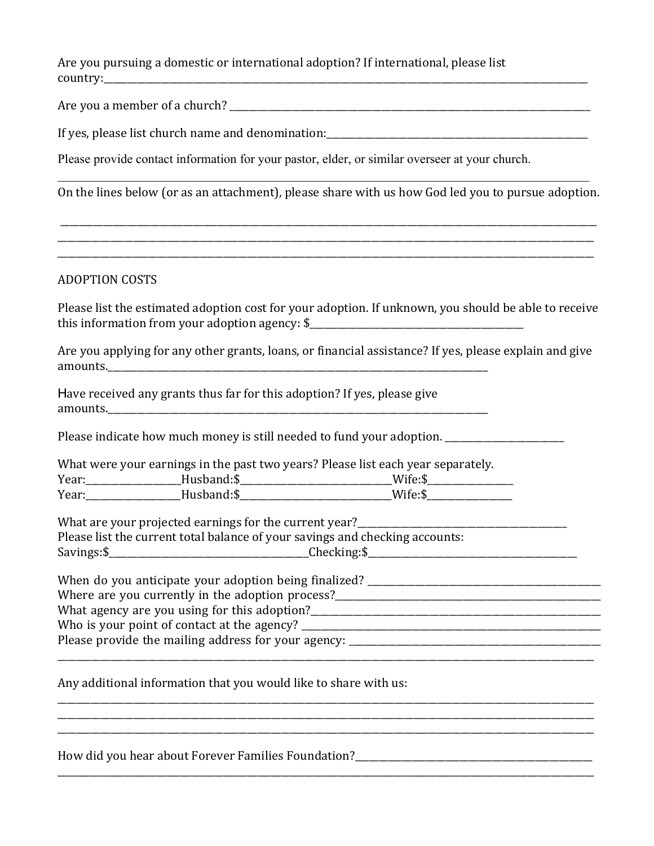Are you pursuing a domestic or international adoption? If international, please list country:

Are you a member of a church? \_\_\_\_\_\_\_\_\_\_\_\_\_\_\_\_\_\_\_\_\_\_\_\_\_\_\_\_\_\_\_\_\_\_\_\_\_\_\_\_\_\_\_\_\_\_\_\_\_\_\_\_\_\_\_\_\_\_\_\_\_\_\_\_\_\_\_\_\_\_\_\_\_\_\_\_ 

If yes, please list church name and denomination:  $\frac{1}{2}$  =  $\frac{1}{2}$  =  $\frac{1}{2}$  =  $\frac{1}{2}$  =  $\frac{1}{2}$  =  $\frac{1}{2}$  =  $\frac{1}{2}$  =  $\frac{1}{2}$  =  $\frac{1}{2}$  =  $\frac{1}{2}$  =  $\frac{1}{2}$  =  $\frac{1}{2}$  =  $\frac{1}{2}$  =  $\frac{1}{2}$  =  $\frac$ 

Please provide contact information for your pastor, elder, or similar overseer at your church.

\_\_\_\_\_\_\_\_\_\_\_\_\_\_\_\_\_\_\_\_\_\_\_\_\_\_\_\_\_\_\_\_\_\_\_\_\_\_\_\_\_\_\_\_\_\_\_\_\_\_\_\_\_\_\_\_\_\_\_\_\_\_\_\_\_\_\_\_\_\_\_\_\_\_\_\_\_\_\_\_\_\_\_ On the lines below (or as an attachment), please share with us how God led you to pursue adoption.

\_\_\_\_\_\_\_\_\_\_\_\_\_\_\_\_\_\_\_\_\_\_\_\_\_\_\_\_\_\_\_\_\_\_\_\_\_\_\_\_\_\_\_\_\_\_\_\_\_\_\_\_\_\_\_\_\_\_\_\_\_\_\_\_\_\_\_\_\_\_\_\_\_\_\_\_\_\_\_\_\_\_\_\_\_\_\_\_\_\_\_\_\_\_\_\_\_\_\_\_\_\_\_\_\_\_\_\_\_\_\_\_\_ \_\_\_\_\_\_\_\_\_\_\_\_\_\_\_\_\_\_\_\_\_\_\_\_\_\_\_\_\_\_\_\_\_\_\_\_\_\_\_\_\_\_\_\_\_\_\_\_\_\_\_\_\_\_\_\_\_\_\_\_\_\_\_\_\_\_\_\_\_\_\_\_\_\_\_\_\_\_\_\_\_\_\_\_\_\_\_\_\_\_\_\_\_\_\_\_\_\_\_\_\_\_\_\_\_\_\_\_\_\_\_\_\_ \_\_\_\_\_\_\_\_\_\_\_\_\_\_\_\_\_\_\_\_\_\_\_\_\_\_\_\_\_\_\_\_\_\_\_\_\_\_\_\_\_\_\_\_\_\_\_\_\_\_\_\_\_\_\_\_\_\_\_\_\_\_\_\_\_\_\_\_\_\_\_\_\_\_\_\_\_\_\_\_\_\_\_\_\_\_\_\_\_\_\_\_\_\_\_\_\_\_\_\_\_\_\_\_\_\_\_\_\_\_\_\_\_ 

## ADOPTION COSTS

Please list the estimated adoption cost for your adoption. If unknown, you should be able to receive this information from your adoption agency:  $\frac{1}{2}$  [100]  $\frac{1}{2}$  [100]  $\frac{1}{2}$  [100]  $\frac{1}{2}$  [100]  $\frac{1}{2}$  [100]  $\frac{1}{2}$  [100]  $\frac{1}{2}$  [100]  $\frac{1}{2}$  [100]  $\frac{1}{2}$  [100]  $\frac{1}{2}$  [100]  $\frac{1}{2}$  [100]

Are you applying for any other grants, loans, or financial assistance? If yes, please explain and give amounts.\_\_\_\_\_\_\_\_\_\_\_\_\_\_\_\_\_\_\_\_\_\_\_\_\_\_\_\_\_\_\_\_\_\_\_\_\_\_\_\_\_\_\_\_\_\_\_\_\_\_\_\_\_\_\_\_\_\_\_\_\_\_\_\_\_\_\_\_\_\_\_\_\_\_\_\_\_\_\_\_ 

Have received any grants thus far for this adoption? If yes, please give amounts.\_\_\_\_\_\_\_\_\_\_\_\_\_\_\_\_\_\_\_\_\_\_\_\_\_\_\_\_\_\_\_\_\_\_\_\_\_\_\_\_\_\_\_\_\_\_\_\_\_\_\_\_\_\_\_\_\_\_\_\_\_\_\_\_\_\_\_\_\_\_\_\_\_\_\_\_\_\_\_\_ 

Please indicate how much money is still needed to fund your adoption.

What were your earnings in the past two years? Please list each year separately.

| Year: | Husband:S  | ∴مu/\ |
|-------|------------|-------|
| Year: | Husband:\$ | Wife: |

What are your projected earnings for the current year?<br> Please list the current total balance of your savings and checking accounts: Savings:\$\_\_\_\_\_\_\_\_\_\_\_\_\_\_\_\_\_\_\_\_\_\_\_\_\_\_\_\_\_\_\_\_\_\_\_\_\_\_\_\_\_\_Checking:\$\_\_\_\_\_\_\_\_\_\_\_\_\_\_\_\_\_\_\_\_\_\_\_\_\_\_\_\_\_\_\_\_\_\_\_\_\_\_\_\_\_\_\_\_ 

| When do you anticipate your adoption being finalized?        |
|--------------------------------------------------------------|
| Where are you currently in the adoption process?             |
| What agency are you using for this adoption?                 |
| Who is your point of contact at the agency?                  |
| Please provide the mailing address for your agency: ________ |
|                                                              |

\_\_\_\_\_\_\_\_\_\_\_\_\_\_\_\_\_\_\_\_\_\_\_\_\_\_\_\_\_\_\_\_\_\_\_\_\_\_\_\_\_\_\_\_\_\_\_\_\_\_\_\_\_\_\_\_\_\_\_\_\_\_\_\_\_\_\_\_\_\_\_\_\_\_\_\_\_\_\_\_\_\_\_\_\_\_\_\_\_\_\_\_\_\_\_\_\_\_\_\_\_\_\_\_\_\_\_\_\_\_\_\_\_ \_\_\_\_\_\_\_\_\_\_\_\_\_\_\_\_\_\_\_\_\_\_\_\_\_\_\_\_\_\_\_\_\_\_\_\_\_\_\_\_\_\_\_\_\_\_\_\_\_\_\_\_\_\_\_\_\_\_\_\_\_\_\_\_\_\_\_\_\_\_\_\_\_\_\_\_\_\_\_\_\_\_\_\_\_\_\_\_\_\_\_\_\_\_\_\_\_\_\_\_\_\_\_\_\_\_\_\_\_\_\_\_\_ \_\_\_\_\_\_\_\_\_\_\_\_\_\_\_\_\_\_\_\_\_\_\_\_\_\_\_\_\_\_\_\_\_\_\_\_\_\_\_\_\_\_\_\_\_\_\_\_\_\_\_\_\_\_\_\_\_\_\_\_\_\_\_\_\_\_\_\_\_\_\_\_\_\_\_\_\_\_\_\_\_\_\_\_\_\_\_\_\_\_\_\_\_\_\_\_\_\_\_\_\_\_\_\_\_\_\_\_\_\_\_\_\_ 

\_\_\_\_\_\_\_\_\_\_\_\_\_\_\_\_\_\_\_\_\_\_\_\_\_\_\_\_\_\_\_\_\_\_\_\_\_\_\_\_\_\_\_\_\_\_\_\_\_\_\_\_\_\_\_\_\_\_\_\_\_\_\_\_\_\_\_\_\_\_\_\_\_\_\_\_\_\_\_\_\_\_\_\_\_\_\_\_\_\_\_\_\_\_\_\_\_\_\_\_\_\_\_\_\_\_\_\_\_\_\_\_\_ 

Any additional information that you would like to share with us:

How did you hear about Forever Families Foundation?